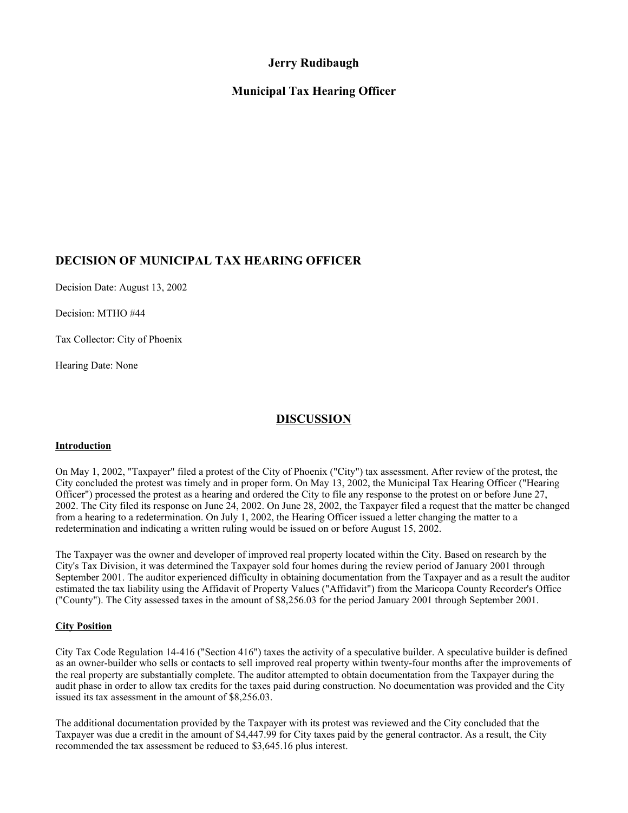# **Jerry Rudibaugh**

# **Municipal Tax Hearing Officer**

### **DECISION OF MUNICIPAL TAX HEARING OFFICER**

Decision Date: August 13, 2002

Decision: MTHO #44

Tax Collector: City of Phoenix

Hearing Date: None

### **DISCUSSION**

#### **Introduction**

On May 1, 2002, "Taxpayer" filed a protest of the City of Phoenix ("City") tax assessment. After review of the protest, the City concluded the protest was timely and in proper form. On May 13, 2002, the Municipal Tax Hearing Officer ("Hearing Officer") processed the protest as a hearing and ordered the City to file any response to the protest on or before June 27, 2002. The City filed its response on June 24, 2002. On June 28, 2002, the Taxpayer filed a request that the matter be changed from a hearing to a redetermination. On July 1, 2002, the Hearing Officer issued a letter changing the matter to a redetermination and indicating a written ruling would be issued on or before August 15, 2002.

The Taxpayer was the owner and developer of improved real property located within the City. Based on research by the City's Tax Division, it was determined the Taxpayer sold four homes during the review period of January 2001 through September 2001. The auditor experienced difficulty in obtaining documentation from the Taxpayer and as a result the auditor estimated the tax liability using the Affidavit of Property Values ("Affidavit") from the Maricopa County Recorder's Office ("County"). The City assessed taxes in the amount of \$8,256.03 for the period January 2001 through September 2001.

#### **City Position**

City Tax Code Regulation 14-416 ("Section 416") taxes the activity of a speculative builder. A speculative builder is defined as an owner-builder who sells or contacts to sell improved real property within twenty-four months after the improvements of the real property are substantially complete. The auditor attempted to obtain documentation from the Taxpayer during the audit phase in order to allow tax credits for the taxes paid during construction. No documentation was provided and the City issued its tax assessment in the amount of \$8,256.03.

The additional documentation provided by the Taxpayer with its protest was reviewed and the City concluded that the Taxpayer was due a credit in the amount of \$4,447.99 for City taxes paid by the general contractor. As a result, the City recommended the tax assessment be reduced to \$3,645.16 plus interest.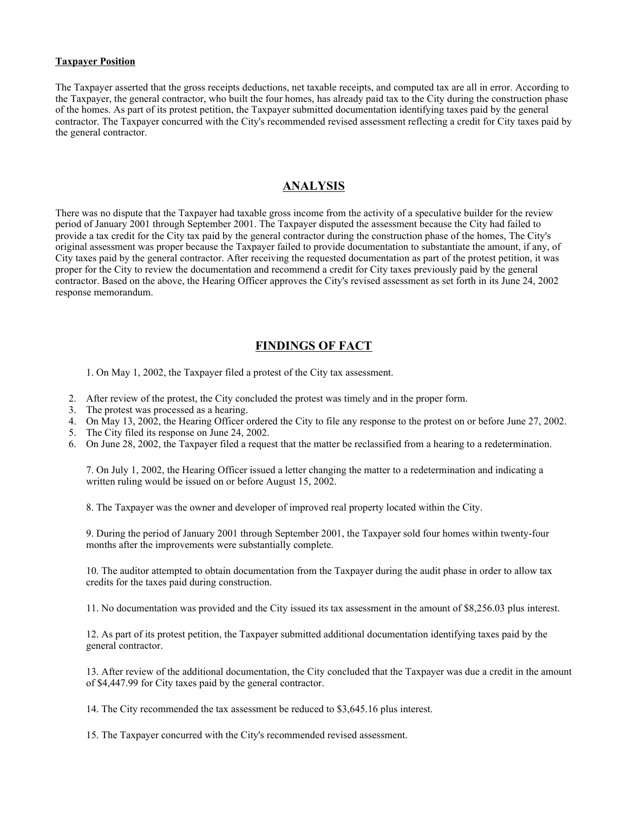#### **Taxpayer Position**

The Taxpayer asserted that the gross receipts deductions, net taxable receipts, and computed tax are all in error. According to the Taxpayer, the general contractor, who built the four homes, has already paid tax to the City during the construction phase of the homes. As part of its protest petition, the Taxpayer submitted documentation identifying taxes paid by the general contractor. The Taxpayer concurred with the City's recommended revised assessment reflecting a credit for City taxes paid by the general contractor.

### **ANALYSIS**

There was no dispute that the Taxpayer had taxable gross income from the activity of a speculative builder for the review period of January 2001 through September 2001. The Taxpayer disputed the assessment because the City had failed to provide a tax credit for the City tax paid by the general contractor during the construction phase of the homes, The City's original assessment was proper because the Taxpayer failed to provide documentation to substantiate the amount, if any, of City taxes paid by the general contractor. After receiving the requested documentation as part of the protest petition, it was proper for the City to review the documentation and recommend a credit for City taxes previously paid by the general contractor. Based on the above, the Hearing Officer approves the City's revised assessment as set forth in its June 24, 2002 response memorandum.

### **FINDINGS OF FACT**

1. On May 1, 2002, the Taxpayer filed a protest of the City tax assessment.

- 2. After review of the protest, the City concluded the protest was timely and in the proper form.
- 3. The protest was processed as a hearing.
- 4. On May 13, 2002, the Hearing Officer ordered the City to file any response to the protest on or before June 27, 2002.
- 5. The City filed its response on June 24, 2002.
- 6. On June 28, 2002, the Taxpayer filed a request that the matter be reclassified from a hearing to a redetermination.

7. On July 1, 2002, the Hearing Officer issued a letter changing the matter to a redetermination and indicating a written ruling would be issued on or before August 15, 2002.

8. The Taxpayer was the owner and developer of improved real property located within the City.

9. During the period of January 2001 through September 2001, the Taxpayer sold four homes within twenty-four months after the improvements were substantially complete.

10. The auditor attempted to obtain documentation from the Taxpayer during the audit phase in order to allow tax credits for the taxes paid during construction.

11. No documentation was provided and the City issued its tax assessment in the amount of \$8,256.03 plus interest.

12. As part of its protest petition, the Taxpayer submitted additional documentation identifying taxes paid by the general contractor.

13. After review of the additional documentation, the City concluded that the Taxpayer was due a credit in the amount of \$4,447.99 for City taxes paid by the general contractor.

14. The City recommended the tax assessment be reduced to \$3,645.16 plus interest.

15. The Taxpayer concurred with the City's recommended revised assessment.